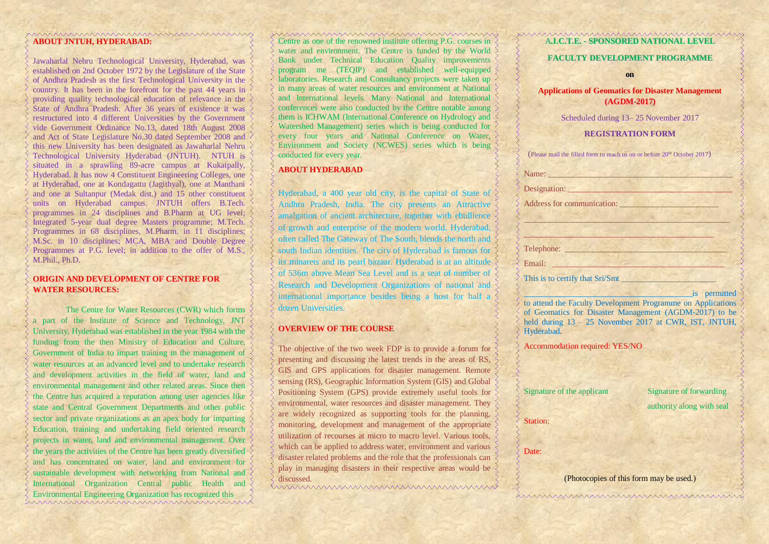#### **ABOUT JNTUH, HYDERABAD:**

Jawaharlal Nehru Technological University, Hyderabad, was established on 2nd October 1972 by the Legislature of the State of Andhra Pradesh as the first Technological University in the country. It has been in the forefront for the past 44 years in providing quality technological education of relevance in the State of Andhra Pradesh. After 36 years of existence it was restructured into 4 different Universities by the Government vide Government Ordinance No.13, dated 18th August 2008 and Act of State Legislature No.30 dated September 2008 and this new University has been designated as Jawaharlal Nehru Technological University Hyderabad (JNTUH). NTUH is situated in a sprawling 89-acre campus at Kukatpally, Hyderabad. It has now 4 Constituent Engineering Colleges, one at Hyderabad, one at Kondagattu (Jagithyal), one at Manthani and one at Sultanpur (Medak dist.) and 15 other constituent units on Hyderabad campus. JNTUH offers B.Tech. programmes in 24 disciplines and B.Pharm at UG level; Integrated 5-year dual degree Masters programme; M.Tech. Programmes in 68 disciplines, M.Pharm. in 11 disciplines; M.Sc. in 10 disciplines; MCA, MBA and Double Degree Programmes at P.G. level; in addition to the offer of M.S., M.Phil., Ph.D.

# **ORIGIN AND DEVELOPMENT OF CENTRE FOR WATER RESOURCES:**

The Centre for Water Resources (CWR) which forms a part of the Institute of Science and Technology, JNT University, Hyderabad was established in the year 1984 with the funding from the then Ministry of Education and Culture, Government of India to impart training in the management of water resources at an advanced level and to undertake research and development activities in the field of water, land and environmental management and other related areas. Since then the Centre has acquired a reputation among user agencies like state and Central Government Departments and other public sector and private organizations as an apex body for imparting Education, training and undertaking field oriented research projects in water, land and environmental management. Over the years the activities of the Centre has been greatly diversified and has concentrated on water, land and environment for sustainable development with networking from National and International Organization Central public Health and Environmental Engineering Organization has recognized this mmmmmmmmmmmmmmm Centre as one of the renowned institute offering P.G. courses in water and environment. The Centre is funded by the World Bank under Technical Education Quality improvements program me (TEQIP) and established well-equipped laboratories. Research and Consultancy projects were taken up in many areas of water resources and environment at National and International levels. Many National and International conferences were also conducted by the Centre notable among them is ICHWAM (International Conference on Hydrology and Watershed Management) series which is being conducted for every four years and National Conference on Water, Environment and Society (NCWES) series which is being conducted for every year.

## **ABOUT HYDERABAD**

Hyderabad, a 400 year old city, is the capital of State of Andhra Pradesh, India. The city presents an Attractive amalgation of ancient architecture, together with ebullience of growth and enterprise of the modern world. Hyderabad, often called The Gateway of The South, blends the north and south Indian identities. The city of Hyderabad is famous for its minarets and its pearl bazaar. Hyderabad is at an altitude of 536m above Mean Sea Level and is a seat of number of Research and Development Organizations of national and international importance besides being a host for half a dozen Universities.

# **OVERVIEW OF THE COURSE**

The objective of the two week FDP is to provide a forum for presenting and discussing the latest trends in the areas of RS, GIS and GPS applications for disaster management. Remote sensing (RS), Geographic Information System (GIS) and Global Positioning System (GPS) provide extremely useful tools for environmental, water resources and disaster management. They are widely recognized as supporting tools for the planning, monitoring, development and management of the appropriate utilization of recourses at micro to macro level. Various tools, which can be applied to address water, environment and various disaster related problems and the role that the professionals can play in managing disasters in their respective areas would be discussed.

#### A**.I.C.T.E. - SPONSORED NATIONAL LEVEL**

#### **FACULTY DEVELOPMENT PROGRAMME**

**on**

**Applications of Geomatics for Disaster Management (AGDM-2017)**

Scheduled during 13– 25 November 2017

#### **REGISTRATION FORM**

| (Please mail the filled form to reach us on or before 20 <sup>th</sup> October 2017)                                                                                                                                                                                                        |
|---------------------------------------------------------------------------------------------------------------------------------------------------------------------------------------------------------------------------------------------------------------------------------------------|
| Name: Name and the state of the state of the state of the state of the state of the state of the state of the state of the state of the state of the state of the state of the state of the state of the state of the state of                                                              |
| Designation: New York 1988                                                                                                                                                                                                                                                                  |
|                                                                                                                                                                                                                                                                                             |
|                                                                                                                                                                                                                                                                                             |
| Charles and Charles and Charles and Charles and Charles and Charles and Charles and Charles and Charles and Charles and Charles and Charles and Charles and Charles and Charles and Charles and Charles and Charles and Charle                                                              |
| Telephone: <u>New York: New York: New York: New York: New York: New York: New York: New York: New York: New York: New York: New York: New York: New York: New York: New York: New York: New York: New York: New York: New York: </u>                                                        |
| <u> Die Kare des Sta</u><br>Email:                                                                                                                                                                                                                                                          |
|                                                                                                                                                                                                                                                                                             |
| is permitted<br>the property of the set of the set of the<br>to attend the Faculty Development Programme on Applications<br>of Geomatics for Disaster Management (AGDM-2017) to be<br>held during 13 - 25 November 2017 at CWR, IST, JNTUH,<br>Hyderabad.<br>Accommodation required: YES/NO |
| Signature of the applicant<br>Signature of forwarding<br>authority along with seal                                                                                                                                                                                                          |
| Station:                                                                                                                                                                                                                                                                                    |
| Date:                                                                                                                                                                                                                                                                                       |
| (Photocopies of this form may be used.)                                                                                                                                                                                                                                                     |

humummummummummum